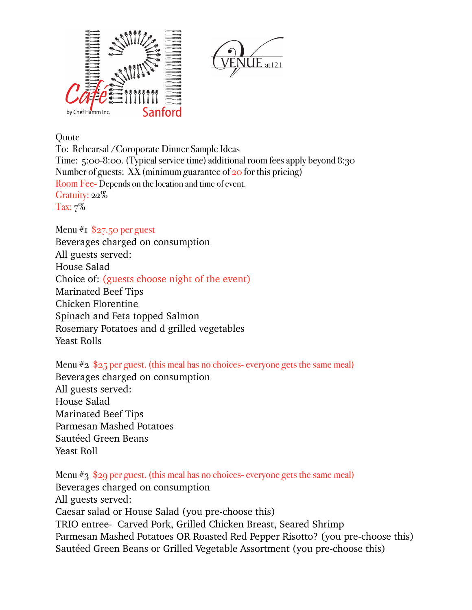

**Ouote** 

To: Rehearsal /Coroporate Dinner Sample Ideas Time: 5:00-8:00. (Typical service time) additional room fees apply beyond 8:30 Number of guests:  $XX$  (minimum guarantee of  $20$  for this pricing) Room Fee- Depends on the location and time of event. Gratuity: 22% Tax: 7%

## Menu  $\#$ I \$27.50 per guest

Beverages charged on consumption All guests served: House Salad Choice of: (guests choose night of the event) Marinated Beef Tips Chicken Florentine Spinach and Feta topped Salmon Rosemary Potatoes and d grilled vegetables Yeast Rolls

Menu #2 \$25 per guest. (this meal has no choices- everyone gets the same meal) Beverages charged on consumption All guests served: House Salad Marinated Beef Tips Parmesan Mashed Potatoes Sautéed Green Beans Yeast Roll

Menu #3 \$29 per guest. (this meal has no choices- everyone gets the same meal) Beverages charged on consumption All guests served: Caesar salad or House Salad (you pre-choose this) TRIO entree- Carved Pork, Grilled Chicken Breast, Seared Shrimp Parmesan Mashed Potatoes OR Roasted Red Pepper Risotto? (you pre-choose this) Sautéed Green Beans or Grilled Vegetable Assortment (you pre-choose this)